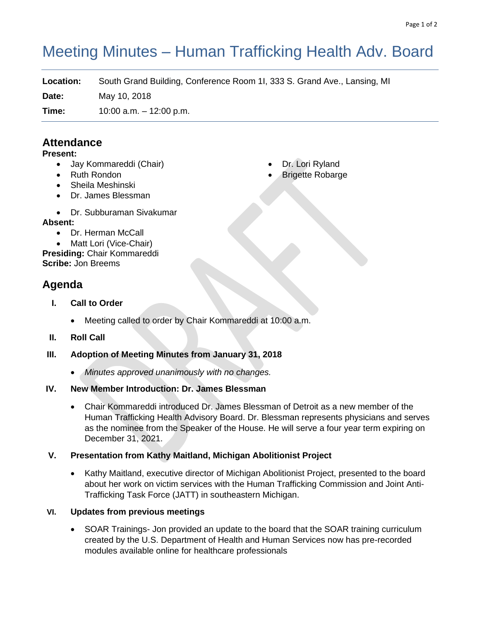# Meeting Minutes – Human Trafficking Health Adv. Board

**Location:** South Grand Building, Conference Room 1I, 333 S. Grand Ave., Lansing, MI

**Date:** May 10, 2018

**Time:** 10:00 a.m. – 12:00 p.m.

## **Attendance**

#### **Present:**

- Jay Kommareddi (Chair)
- Ruth Rondon
- Sheila Meshinski
- Dr. James Blessman
- Dr. Subburaman Sivakumar

#### **Absent:**

• Dr. Herman McCall

• Matt Lori (Vice-Chair) **Presiding:** Chair Kommareddi **Scribe:** Jon Breems

# **Agenda**

- **I. Call to Order**
	- Meeting called to order by Chair Kommareddi at 10:00 a.m.
- **II. Roll Call**
- **III. Adoption of Meeting Minutes from January 31, 2018**
	- *Minutes approved unanimously with no changes.*
- **IV. New Member Introduction: Dr. James Blessman**
	- Chair Kommareddi introduced Dr. James Blessman of Detroit as a new member of the Human Trafficking Health Advisory Board. Dr. Blessman represents physicians and serves as the nominee from the Speaker of the House. He will serve a four year term expiring on December 31, 2021.

### **V. Presentation from Kathy Maitland, Michigan Abolitionist Project**

• Kathy Maitland, executive director of Michigan Abolitionist Project, presented to the board about her work on victim services with the Human Trafficking Commission and Joint Anti-Trafficking Task Force (JATT) in southeastern Michigan.

#### **VI. Updates from previous meetings**

• SOAR Trainings- Jon provided an update to the board that the SOAR training curriculum created by the U.S. Department of Health and Human Services now has pre-recorded modules available online for healthcare professionals

- Dr. Lori Ryland
- **Brigette Robarge**